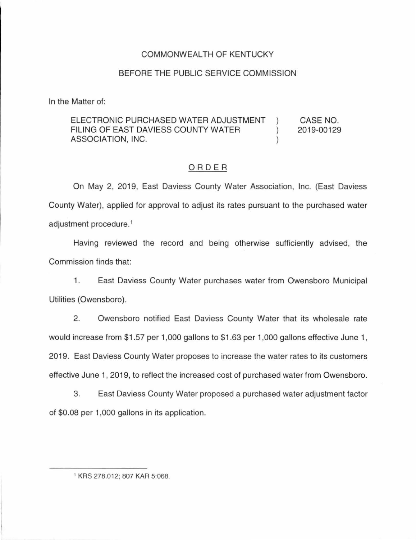### COMMONWEAL TH OF KENTUCKY

#### BEFORE THE PUBLIC SERVICE COMMISSION

In the Matter of:

#### ELECTRONIC PURCHASED WATER ADJUSTMENT ) FILING OF EAST DAVIESS COUNTY WATER  $\qquad \qquad$  ) ASSOCIATION, INC.  $(1)$ CASE NO. 2019-00129

#### ORDER

On May 2, 2019, East Daviess County Water Association, Inc. (East Daviess County Water), applied for approval to adjust its rates pursuant to the purchased water adjustment procedure. 1

Having reviewed the record and being otherwise sufficiently advised, the Commission finds that:

1. East Daviess County Water purchases water from Owensboro Municipal Utilities (Owensboro).

2. Owensboro notified East Daviess County Water that its wholesale rate would increase from \$1 .57 per 1,000 gallons to \$1 .63 per 1,000 gallons effective June 1, 2019. East Daviess County Water proposes to increase the water rates to its customers effective June 1, 2019, to reflect the increased cost of purchased water from Owensboro.

3. East Daviess County Water proposed a purchased water adjustment factor of \$0.08 per 1,000 gallons in its application.

<sup>1</sup> KRS 278.012; 807 KAR 5:068.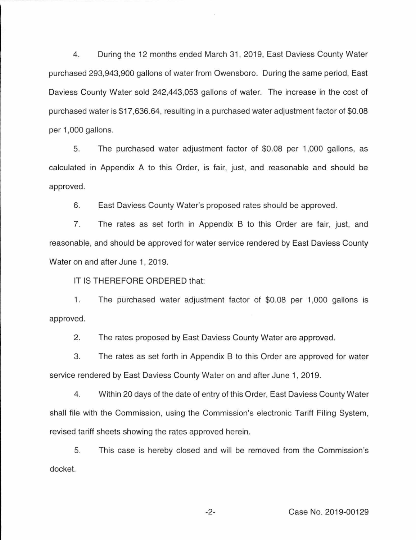4. During the 12 months ended March 31, 2019, East Daviess County Water purchased 293,943,900 gallons of water from Owensboro. During the same period, East Daviess County Water sold 242,443,053 gallons of water. The increase in the cost of purchased water is \$17,636.64, resulting in a purchased water adjustment factor of \$0.08 per 1,000 gallons.

5. The purchased water adjustment factor of \$0.08 per 1 ,000 gallons, as calculated in Appendix A to this Order, is fair, just, and reasonable and should be approved.

6. East Daviess County Water's proposed rates should be approved.

7. The rates as set forth in Appendix B to this Order are fair, just, and reasonable, and should be approved for water service rendered by East Daviess County Water on and after June 1, 2019.

IT IS THEREFORE ORDERED that:

1. The purchased water adjustment factor of \$0.08 per 1,000 gallons is approved.

2. The rates proposed by East Daviess County Water are approved.

3. The rates as set forth in Appendix B to this Order are approved for water service rendered by East Daviess County Water on and after June 1, 2019.

4. Within 20 days of the date of entry of this Order, East Daviess County Water shall file with the Commission, using the Commission's electronic Tariff Filing System, revised tariff sheets showing the rates approved herein.

5. This case is hereby closed and will be removed from the Commission's docket.

-2- Case No. 2019-00129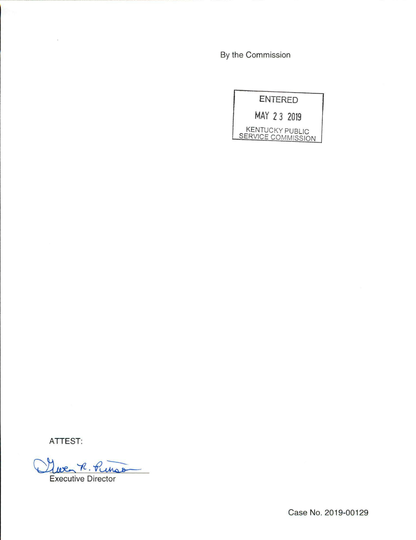By the Commission

|                                              | <b>ENTERED</b> |  |
|----------------------------------------------|----------------|--|
| MAY 23 2019                                  |                |  |
| <b>KENTUCKY PUBLIC</b><br>SERVICE COMMISSION |                |  |

ATTEST:

Que R. Punso

Case No. 2019-00129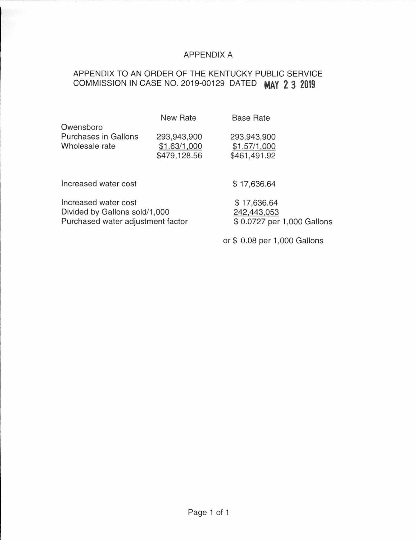### APPENDIX A

## APPENDIX TO AN ORDER OF THE KENTUCKY PUBLIC SERVICE COMMISSION IN CASE NO. 2019-00129 DATED **MAY 2 3 2019**

|                      | New Rate     | <b>Base Rate</b> |  |
|----------------------|--------------|------------------|--|
| Owensboro            |              |                  |  |
| Purchases in Gallons | 293,943,900  | 293,943,900      |  |
| Wholesale rate       | \$1.63/1,000 | \$1.57/1,000     |  |
|                      | \$479,128.56 | \$461,491.92     |  |
|                      |              |                  |  |
|                      |              |                  |  |

Increased water cost

Increased water cost Divided by Gallons sold/1,000 Purchased water adjustment factor \$ 17,636.64

\$ 17,636.64 242.443,053 \$ 0.0727 per 1 ,000 Gallons

or\$ 0.08 per 1,000 Gallons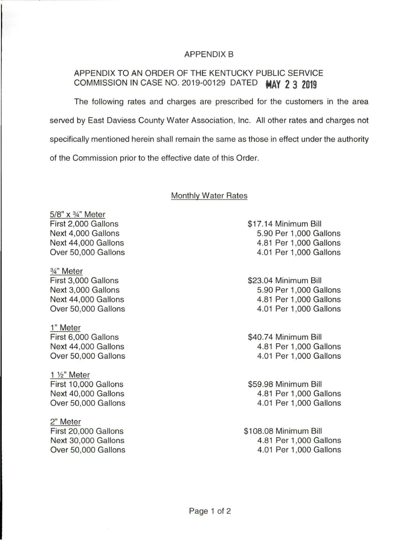#### APPENDIX B

### APPENDIX TO AN ORDER OF THE KENTUCKY PUBLIC SERVICE COMMISSION IN CASE NO. 2019-00129 DATED **MAY 2 3 2019**

The following rates and charges are prescribed for the customers in the area served by East Daviess County Water Association, Inc. All other rates and charges not specifically mentioned herein shall remain the same as those in effect under the authority of the Commission prior to the effective date of this Order.

#### Monthly Water Rates

5/8" x 3/4" Meter First 2,000 Gallons Next 4,000 Gallons Next 44,000 Gallons Over 50,000 Gallons

*3* A" Meter First 3,000 Gallons Next 3,000 Gallons Next 44,000 Gallons Over 50,000 Gallons

1" Meter First 6,000 Gallons Next 44,000 Gallons Over 50,000 Gallons

1 %" Meter First 10,000 Gallons Next 40,000 Gallons Over 50,000 Gallons

2" Meter First 20,000 Gallons Next 30,000 Gallons Over 50,000 Gallons \$17.14 Minimum Bill 5.90 Per 1 ,000 Gallons 4.81 Per 1,000 Gallons 4.01 Per 1,000 Gallons

\$23.04 Minimum Bill 5.90 Per 1,000 Gallons 4.81 Per 1,000 Gallons 4.01 Per 1,000 Gallons

\$40.74 Minimum Bill 4.81 Per 1,000 Gallons 4.01 Per 1,000 Gallons

\$59.98 Minimum Bill 4.81 Per 1,000 Gallons 4.01 Per 1,000 Gallons

\$108.08 Minimum Bill 4.81 Per 1,000 Gallons 4.01 Per 1,000 Gallons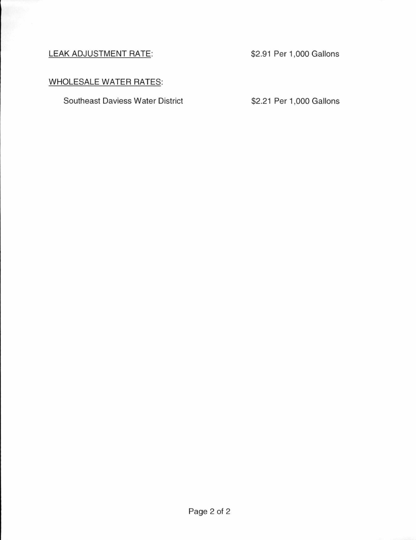### LEAK ADJUSTMENT RATE: \$2.91 Per 1,000 Gallons

# WHOLESALE WATER RATES:

Southeast Daviess Water District \$2.21 Per 1,000 Gallons